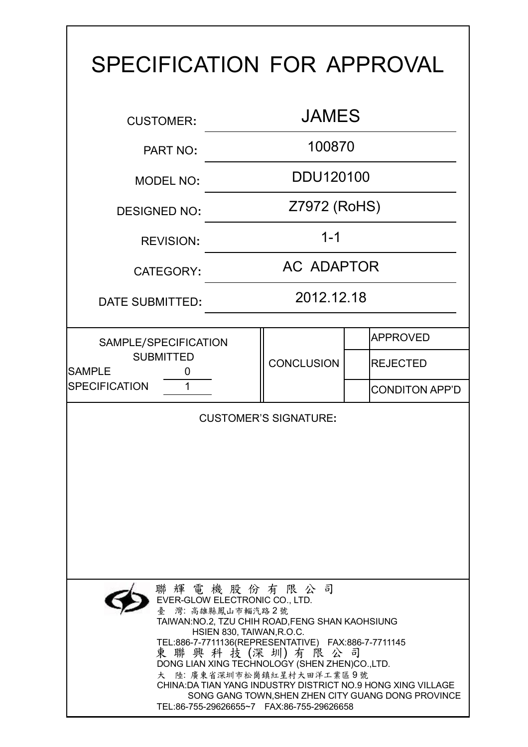| SPECIFICATION FOR APPROVAL                                                                                                                                                                                                                                                                                                                                                                                                                                                        |            |                   |  |                       |  |  |  |
|-----------------------------------------------------------------------------------------------------------------------------------------------------------------------------------------------------------------------------------------------------------------------------------------------------------------------------------------------------------------------------------------------------------------------------------------------------------------------------------|------------|-------------------|--|-----------------------|--|--|--|
| <b>JAMES</b><br><b>CUSTOMER:</b>                                                                                                                                                                                                                                                                                                                                                                                                                                                  |            |                   |  |                       |  |  |  |
| <b>PART NO:</b>                                                                                                                                                                                                                                                                                                                                                                                                                                                                   |            |                   |  |                       |  |  |  |
| <b>MODEL NO:</b>                                                                                                                                                                                                                                                                                                                                                                                                                                                                  | DDU120100  |                   |  |                       |  |  |  |
| <b>DESIGNED NO:</b>                                                                                                                                                                                                                                                                                                                                                                                                                                                               |            | Z7972 (RoHS)      |  |                       |  |  |  |
| <b>REVISION:</b>                                                                                                                                                                                                                                                                                                                                                                                                                                                                  |            | $1 - 1$           |  |                       |  |  |  |
| <b>CATEGORY:</b>                                                                                                                                                                                                                                                                                                                                                                                                                                                                  | AC ADAPTOR |                   |  |                       |  |  |  |
| DATE SUBMITTED:                                                                                                                                                                                                                                                                                                                                                                                                                                                                   | 2012.12.18 |                   |  |                       |  |  |  |
| SAMPLE/SPECIFICATION                                                                                                                                                                                                                                                                                                                                                                                                                                                              |            | <b>CONCLUSION</b> |  | <b>APPROVED</b>       |  |  |  |
| <b>SUBMITTED</b><br><b>SAMPLE</b><br>0                                                                                                                                                                                                                                                                                                                                                                                                                                            |            |                   |  | <b>REJECTED</b>       |  |  |  |
| <b>SPECIFICATION</b><br>1                                                                                                                                                                                                                                                                                                                                                                                                                                                         |            |                   |  | <b>CONDITON APP'D</b> |  |  |  |
| <b>CUSTOMER'S SIGNATURE:</b>                                                                                                                                                                                                                                                                                                                                                                                                                                                      |            |                   |  |                       |  |  |  |
| 聯輝電機股份有限公司<br>EVER-GLOW ELECTRONIC CO., LTD.<br>灣:高雄縣鳳山市輜汽路2號<br>TAIWAN:NO.2, TZU CHIH ROAD, FENG SHAN KAOHSIUNG<br>HSIEN 830, TAIWAN, R.O.C.<br>TEL:886-7-7711136(REPRESENTATIVE) FAX:886-7-7711145<br>東 聯 興 科 技 (深 圳) 有 限 公 司<br>DONG LIAN XING TECHNOLOGY (SHEN ZHEN)CO., LTD.<br>大 陸: 廣東省深圳市松崗鎮紅星村大田洋工業區9號<br>CHINA: DA TIAN YANG INDUSTRY DISTRICT NO.9 HONG XING VILLAGE<br>SONG GANG TOWN, SHEN ZHEN CITY GUANG DONG PROVINCE<br>TEL:86-755-29626655~7 FAX:86-755-29626658 |            |                   |  |                       |  |  |  |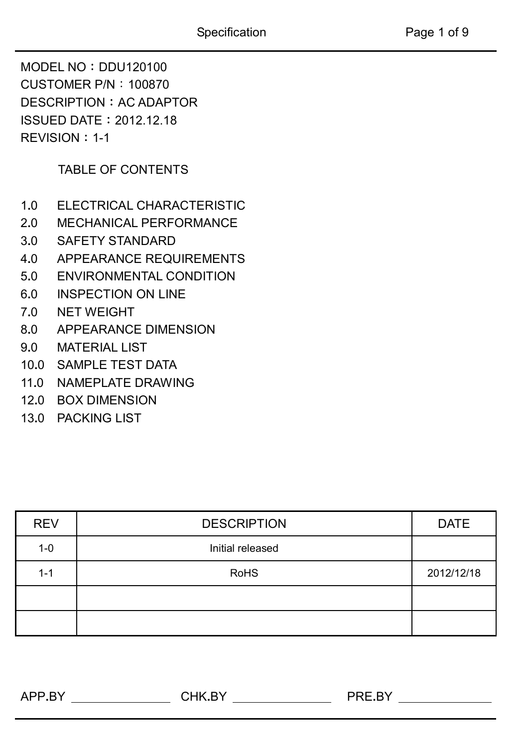MODEL NO**:**DDU120100 CUSTOMER P/N:100870 DESCRIPTION**:**AC ADAPTOR ISSUED DATE**:**2012.12.18 REVISION**:**1-1

TABLE OF CONTENTS

- 1**.**0 ELECTRICAL CHARACTERISTIC
- 2**.**0 MECHANICAL PERFORMANCE
- 3**.**0 SAFETY STANDARD
- 4**.**0 APPEARANCE REQUIREMENTS
- 5**.**0 ENVIRONMENTAL CONDITION
- 6**.**0 INSPECTION ON LINE
- 7**.**0 NET WEIGHT
- 8**.**0 APPEARANCE DIMENSION
- 9**.**0 MATERIAL LIST
- 10**.**0 SAMPLE TEST DATA
- 11**.**0 NAMEPLATE DRAWING
- 12**.**0 BOX DIMENSION
- 13**.**0 PACKING LIST

| <b>REV</b> | <b>DESCRIPTION</b> | <b>DATE</b> |
|------------|--------------------|-------------|
| $1 - 0$    | Initial released   |             |
| $1 - 1$    | <b>RoHS</b>        | 2012/12/18  |
|            |                    |             |
|            |                    |             |

APP**.**BY CHK**.**BY PRE**.**BY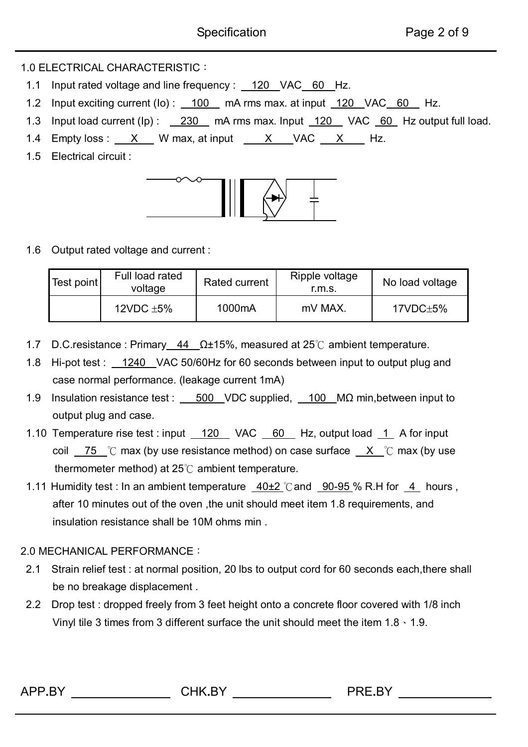APP**.**BY CHK**.**BY PRE**.**BY

## 1.0 ELECTRICAL CHARACTERISTIC:

- 1.1 Input rated voltage and line frequency : 120 VAC 60 Hz.
- 1.2 Input exciting current (Io): 100 mA rms max. at input 120 VAC 60 Hz.
- 1.3 Input load current (Ip) : 230 mA rms max. Input 120 VAC 60 Hz output full load.
- 1.4 Empty loss :  $X$  W max, at input  $X$  VAC  $X$  Hz.
- 1.5 Electrical circuit :



1.6 Output rated voltage and current :

| Test point | Full load rated<br>voltage | Rated current | Ripple voltage<br>r.m.s. | No load voltage |  |  |
|------------|----------------------------|---------------|--------------------------|-----------------|--|--|
|            | 12VDC $\pm$ 5%             | 1000mA        | mV MAX.                  | 17VDC±5%        |  |  |

- 1.7 D.C.resistance : Primary 44 Ω±15%, measured at 25℃ ambient temperature.
- 1.8 Hi-pot test : 1240 VAC 50/60Hz for 60 seconds between input to output plug and case normal performance. (leakage current 1mA)
- 1.9 Insulation resistance test : 500 VDC supplied, 100 MΩ min, between input to output plug and case.
- 1.10 Temperature rise test : input 120 VAC 60 Hz, output load 1 A for input coil  $\overline{75}$  °C max (by use resistance method) on case surface  $\overline{X}$  °C max (by use thermometer method) at 25℃ ambient temperature.
- 1.11 Humidity test : In an ambient temperature 40±2 ℃and 90-95 % R.H for 4 hours , after 10 minutes out of the oven ,the unit should meet item 1.8 requirements, and insulation resistance shall be 10M ohms min .

## 2.0 MECHANICAL PERFORMANCE:

- 2.1 Strain relief test : at normal position, 20 lbs to output cord for 60 seconds each,there shall be no breakage displacement .
- 2.2 Drop test : dropped freely from 3 feet height onto a concrete floor covered with 1/8 inch Vinyl tile 3 times from 3 different surface the unit should meet the item  $1.8 \cdot 1.9$ .

| v<br>. |
|--------|
|        |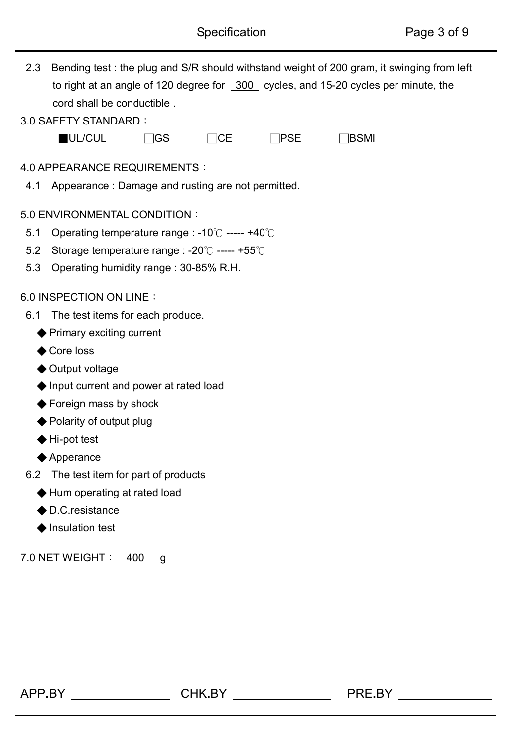| 2.3 | Bending test: the plug and S/R should withstand weight of 200 gram, it swinging from left |             |           |     |             |  |  |  |
|-----|-------------------------------------------------------------------------------------------|-------------|-----------|-----|-------------|--|--|--|
|     | to right at an angle of 120 degree for _300 cycles, and 15-20 cycles per minute, the      |             |           |     |             |  |  |  |
|     | cord shall be conductible.                                                                |             |           |     |             |  |  |  |
|     | 3.0 SAFETY STANDARD:                                                                      |             |           |     |             |  |  |  |
|     | UL/CUL                                                                                    | $\sqcap$ GS | <b>CE</b> | PSE | <b>BSMI</b> |  |  |  |
|     |                                                                                           |             |           |     |             |  |  |  |
|     | 4.0 APPEARANCE REQUIREMENTS :                                                             |             |           |     |             |  |  |  |
|     | 4.1 Appearance: Damage and rusting are not permitted.                                     |             |           |     |             |  |  |  |
|     | 5.0 ENVIRONMENTAL CONDITION :                                                             |             |           |     |             |  |  |  |
| 5.1 | Operating temperature range : -10°C ----- +40°C                                           |             |           |     |             |  |  |  |
| 5.2 | Storage temperature range : -20°C ----- +55°C                                             |             |           |     |             |  |  |  |
| 5.3 | Operating humidity range: 30-85% R.H.                                                     |             |           |     |             |  |  |  |
|     | 6.0 INSPECTION ON LINE :                                                                  |             |           |     |             |  |  |  |
| 6.1 | The test items for each produce.                                                          |             |           |     |             |  |  |  |
|     | ♦ Primary exciting current                                                                |             |           |     |             |  |  |  |
|     | ◆ Core loss                                                                               |             |           |     |             |  |  |  |
|     | ♦ Output voltage                                                                          |             |           |     |             |  |  |  |
|     | ♦ Input current and power at rated load                                                   |             |           |     |             |  |  |  |
|     | ♦ Foreign mass by shock                                                                   |             |           |     |             |  |  |  |
|     | ◆ Polarity of output plug                                                                 |             |           |     |             |  |  |  |
|     | $\blacklozenge$ Hi-pot test                                                               |             |           |     |             |  |  |  |
|     | $\blacklozenge$ Apperance                                                                 |             |           |     |             |  |  |  |
| 6.2 | The test item for part of products                                                        |             |           |     |             |  |  |  |
|     | ♦ Hum operating at rated load                                                             |             |           |     |             |  |  |  |
|     | $\bigodot$ D.C. resistance                                                                |             |           |     |             |  |  |  |
|     | Insulation test                                                                           |             |           |     |             |  |  |  |
|     | 7.0 NET WEIGHT: 400 g                                                                     |             |           |     |             |  |  |  |
|     |                                                                                           |             |           |     |             |  |  |  |
|     |                                                                                           |             |           |     |             |  |  |  |
|     |                                                                                           |             |           |     |             |  |  |  |
|     |                                                                                           |             |           |     |             |  |  |  |
|     |                                                                                           |             |           |     |             |  |  |  |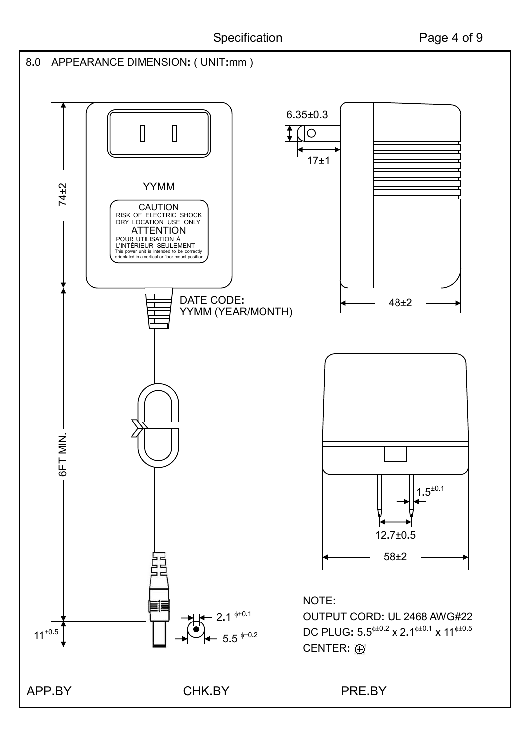

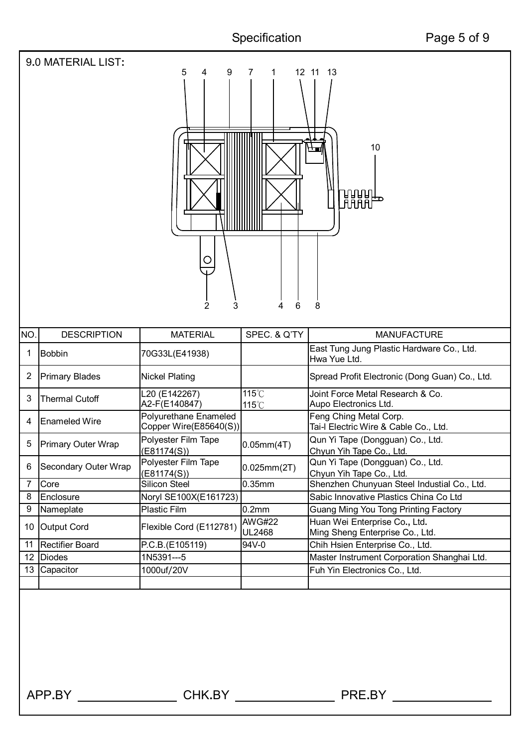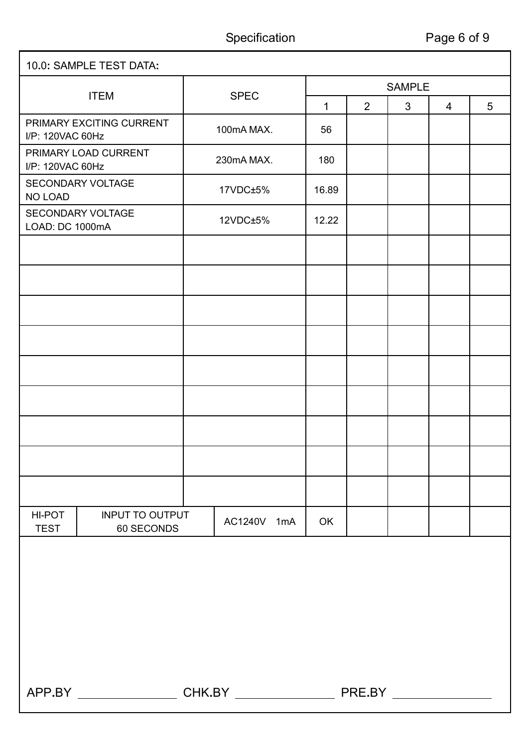ī

| 10.0: SAMPLE TEST DATA:                      |                                      |  |             |               |                |   |   |   |  |
|----------------------------------------------|--------------------------------------|--|-------------|---------------|----------------|---|---|---|--|
| <b>ITEM</b>                                  |                                      |  | <b>SPEC</b> | <b>SAMPLE</b> |                |   |   |   |  |
|                                              |                                      |  |             |               | $\overline{2}$ | 3 | 4 | 5 |  |
| PRIMARY EXCITING CURRENT<br>I/P: 120VAC 60Hz |                                      |  | 100mA MAX.  |               |                |   |   |   |  |
| I/P: 120VAC 60Hz                             | PRIMARY LOAD CURRENT                 |  | 230mA MAX.  | 180           |                |   |   |   |  |
| <b>NO LOAD</b>                               | SECONDARY VOLTAGE                    |  | 17VDC±5%    | 16.89         |                |   |   |   |  |
| LOAD: DC 1000mA                              | SECONDARY VOLTAGE                    |  | 12VDC±5%    | 12.22         |                |   |   |   |  |
|                                              |                                      |  |             |               |                |   |   |   |  |
|                                              |                                      |  |             |               |                |   |   |   |  |
|                                              |                                      |  |             |               |                |   |   |   |  |
|                                              |                                      |  |             |               |                |   |   |   |  |
|                                              |                                      |  |             |               |                |   |   |   |  |
|                                              |                                      |  |             |               |                |   |   |   |  |
|                                              |                                      |  |             |               |                |   |   |   |  |
|                                              |                                      |  |             |               |                |   |   |   |  |
|                                              |                                      |  |             |               |                |   |   |   |  |
| HI-POT<br><b>TEST</b>                        | <b>INPUT TO OUTPUT</b><br>60 SECONDS |  | AC1240V 1mA | OK            |                |   |   |   |  |
|                                              |                                      |  |             |               |                |   |   |   |  |
|                                              |                                      |  |             |               |                |   |   |   |  |
|                                              |                                      |  |             |               |                |   |   |   |  |
|                                              |                                      |  |             |               |                |   |   |   |  |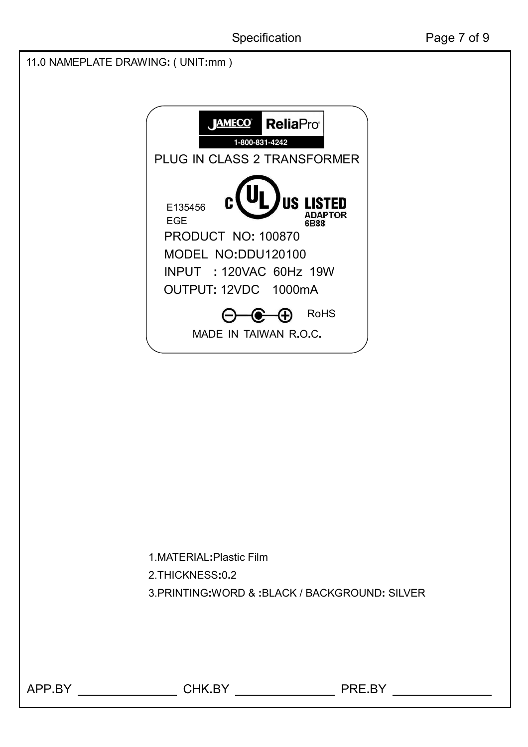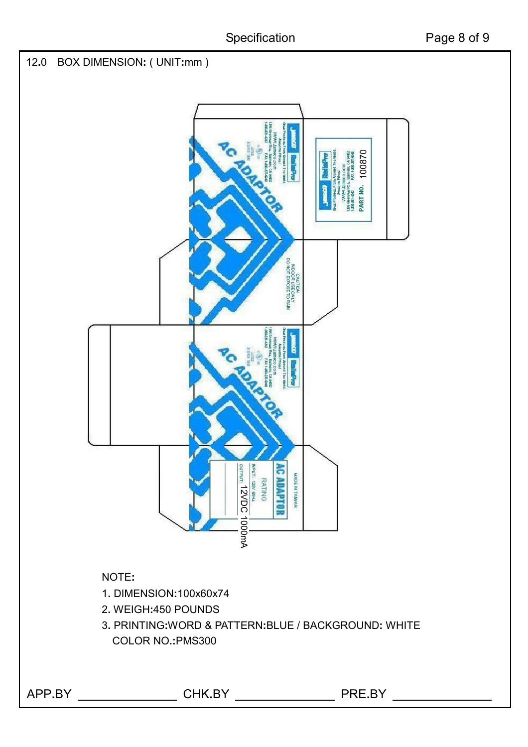